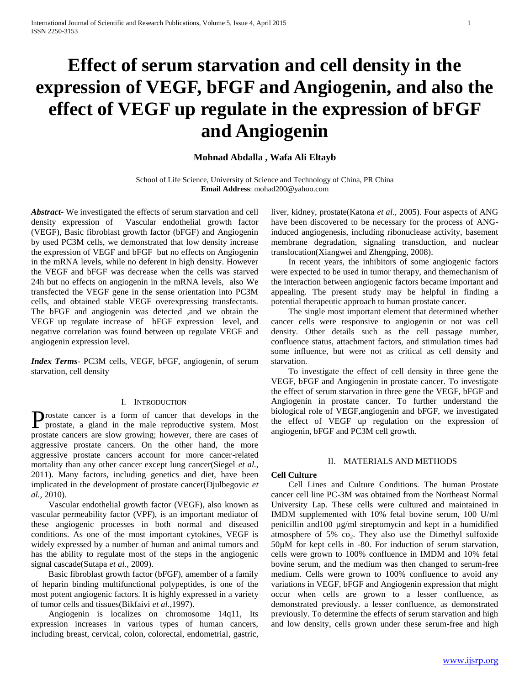# **Effect of serum starvation and cell density in the expression of VEGF, bFGF and Angiogenin, and also the effect of VEGF up regulate in the expression of bFGF and Angiogenin**

# **Mohnad Abdalla , Wafa Ali Eltayb**

School of Life Science, University of Science and Technology of China, PR China **Email Address**: mohad200@yahoo.com

*Abstract***-** We investigated the effects of serum starvation and cell density expression of Vascular endothelial growth factor (VEGF), Basic fibroblast growth factor (bFGF) and Angiogenin by used PC3M cells, we demonstrated that low density increase the expression of VEGF and bFGF but no effects on Angiogenin in the mRNA levels, while no deferent in high density. However the VEGF and bFGF was decrease when the cells was starved 24h but no effects on angiogenin in the mRNA levels, also We transfected the VEGF gene in the sense orientation into PC3M cells, and obtained stable VEGF overexpressing transfectants. The bFGF and angiogenin was detected ,and we obtain the VEGF up regulate increase of bFGF expression level, and negative correlation was found between up regulate VEGF and angiogenin expression level.

*Index Terms*- PC3M cells, VEGF, bFGF, angiogenin, of serum starvation, cell density

## I. INTRODUCTION

rostate cancer is a form of cancer that develops in the Prostate cancer is a form of cancer that develops in the prostate, a gland in the male reproductive system. Most prostate cancers are slow growing; however, there are cases of aggressive prostate cancers. On the other hand, the more aggressive prostate cancers account for more cancer-related mortality than any other cancer except lung cancer(Siegel *et al.,* 2011). Many factors, including genetics and diet, have been implicated in the development of prostate cancer(Djulbegovic *et al.,* 2010).

 Vascular endothelial growth factor (VEGF), also known as vascular permeability factor (VPF), is an important mediator of these angiogenic processes in both normal and diseased conditions. As one of the most important cytokines, VEGF is widely expressed by a number of human and animal tumors and has the ability to regulate most of the steps in the angiogenic signal cascade(Sutapa *et al.,* 2009).

 Basic fibroblast growth factor (bFGF), amember of a family of heparin binding multifunctional polypeptides, is one of the most potent angiogenic factors. It is highly expressed in a variety of tumor cells and tissues(Bikfaivi *et al.,*1997).

 Angiogenin is localizes on chromosome 14q11, Its expression increases in various types of human cancers, including breast, cervical, colon, colorectal, endometrial, gastric, liver, kidney, prostate(Katona *et al.,* 2005). Four aspects of ANG have been discovered to be necessary for the process of ANGinduced angiogenesis, including ribonuclease activity, basement membrane degradation, signaling transduction, and nuclear translocation(Xiangwei and Zhengping, 2008).

 In recent years, the inhibitors of some angiogenic factors were expected to be used in tumor therapy, and themechanism of the interaction between angiogenic factors became important and appealing. The present study may be helpful in finding a potential therapeutic approach to human prostate cancer.

 The single most important element that determined whether cancer cells were responsive to angiogenin or not was cell density. Other details such as the cell passage number, confluence status, attachment factors, and stimulation times had some influence, but were not as critical as cell density and starvation.

 To investigate the effect of cell density in three gene the VEGF, bFGF and Angiogenin in prostate cancer. To investigate the effect of serum starvation in three gene the VEGF, bFGF and Angiogenin in prostate cancer. To further understand the biological role of VEGF,angiogenin and bFGF, we investigated the effect of VEGF up regulation on the expression of angiogenin, bFGF and PC3M cell growth.

# II. MATERIALS AND METHODS

## **Cell Culture**

 Cell Lines and Culture Conditions. The human Prostate cancer cell line PC-3M was obtained from the Northeast Normal University Lap. These cells were cultured and maintained in IMDM supplemented with 10% fetal bovine serum, 100 U/ml penicillin and100 µg/ml streptomycin and kept in a humidified atmosphere of 5%  $co<sub>2</sub>$ . They also use the Dimethyl sulfoxide 50µM for kept cells in -80. For induction of serum starvation, cells were grown to 100% confluence in IMDM and 10% fetal bovine serum, and the medium was then changed to serum-free medium. Cells were grown to 100% confluence to avoid any variations in VEGF, bFGF and Angiogenin expression that might occur when cells are grown to a lesser confluence, as demonstrated previously. a lesser confluence, as demonstrated previously. To determine the effects of serum starvation and high and low density, cells grown under these serum-free and high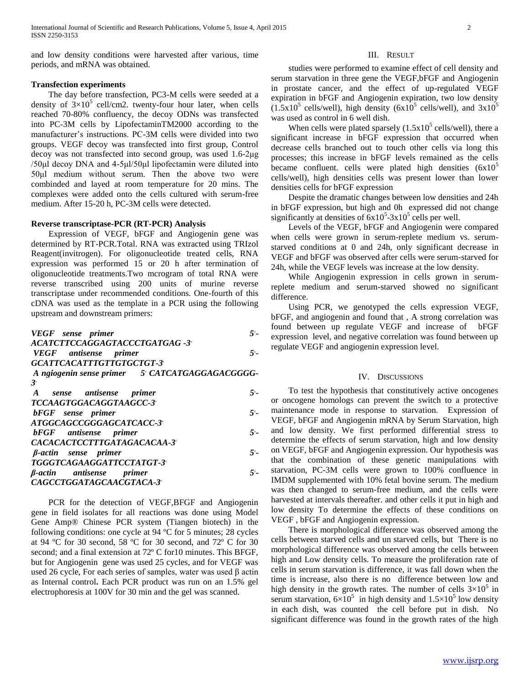and low density conditions were harvested after various, time periods, and mRNA was obtained.

# **Transfection experiments**

 The day before transfection, PC3-M cells were seeded at a density of  $3\times10^5$  cell/cm2. twenty-four hour later, when cells reached 70-80% confluency, the decoy ODNs was transfected into PC-3M cells by LipofectaminTM2000 according to the manufacturer's instructions. PC-3M cells were divided into two groups. VEGF decoy was transfected into first group, Control decoy was not transfected into second group, was used 1.6-2μg /50μl decoy DNA and 4-5μl/50μl lipofectamin were diluted into 50μl medium without serum. Then the above two were combinded and layed at room temperature for 20 mins. The complexes were added onto the cells cultured with serum-free medium. After 15-20 h, PC-3M cells were detected.

### **Reverse transcriptase-PCR (RT-PCR) Analysis**

 Expression of VEGF, bFGF and Angiogenin gene was determined by RT-PCR.Total. RNA was extracted using TRIzol Reagent(invitrogen). For oligonucleotide treated cells, RNA expression was performed 15 or 20 h after termination of oligonucleotide treatments.Two mcrogram of total RNA were reverse transcribed using 200 units of murine reverse transcriptase under recommended conditions. One-fourth of this cDNA was used as the template in a PCR using the following upstream and downstream primers:

*VEGF* sense primer *- ACATCTTCCAGGAGTACCCTGATGAG -3* , *VEGF* antisense primer *- GCATTCACATTTGTTGTGCTGT-3* , *A ngiogenin sense primer 5*, *CATCATGAGGAGACGGGG-3* , *A sense antisense primer 5*, *- TCCAAGTGGACAGGTAAGCC-3* ,  $bFGF$  sense primer *- ATGGCAGCCGGGAGCATCACC-3* , *bFGF* antisense primer *- CACACACTCCTTTGATAGACACAA-3* , *β*-actin sense primer *- TGGGTCAGAAGGATTCCTATGT-3* , *β*-actin antisense primer *- CAGCCTGGATAGCAACGTACA-3* ,

 PCR for the detection of VEGF,BFGF and Angiogenin gene in field isolates for all reactions was done using Model Gene Amp® Chinese PCR system (Tiangen biotech) in the following conditions: one cycle at 94 ºC for 5 minutes; 28 cycles at 94 ºC for 30 second, 58 ºC for 30 second, and 72º C for 30 second; and a final extension at 72º C for10 minutes. This BFGF, but for Angiogenin gene was used 25 cycles, and for VEGF was used 26 cycle, For each series of samples, water was used β actin as Internal control**.** Each PCR product was run on an 1.5% gel electrophoresis at 100V for 30 min and the gel was scanned.

# III. RESULT

 studies were performed to examine effect of cell density and serum starvation in three gene the VEGF,bFGF and Angiogenin in prostate cancer, and the effect of up-regulated VEGF expiration in bFGF and Angiogenin expiration, two low density  $(1.5x10^5 \text{ cells/well})$ , high density  $(6x10^5 \text{ cells/well})$ , and  $3x10^5$ was used as control in 6 well dish.

When cells were plated sparsely  $(1.5x10^5 \text{ cells/well})$ , there a significant increase in bFGF expression that occurred when decrease cells branched out to touch other cells via long this processes; this increase in bFGF levels remained as the cells became confluent. cells were plated high densities  $(6x10<sup>5</sup>)$ cells/well), high densities cells was present lower than lower densities cells for bFGF expression

 Despite the dramatic changes between low densities and 24h in bFGF expression, but high and 0h expressed did not change significantly at densities of  $6x10^5$ -3x10<sup>5</sup> cells per well.

 Levels of the VEGF, bFGF and Angiogenin were compared when cells were grown in serum-replete medium vs. serumstarved conditions at 0 and 24h, only significant decrease in VEGF and bFGF was observed after cells were serum-starved for 24h, while the VEGF levels was increase at the low density.

 While Angiogenin expression in cells grown in serumreplete medium and serum-starved showed no significant difference.

 Using PCR, we genotyped the cells expression VEGF, bFGF, and angiogenin and found that , A strong correlation was found between up regulate VEGF and increase of bFGF expression level, and negative correlation was found between up regulate VEGF and angiogenin expression level.

#### IV. DISCUSSIONS

 To test the hypothesis that constitutively active oncogenes or oncogene homologs can prevent the switch to a protective maintenance mode in response to starvation. Expression of VEGF, bFGF and Angiogenin mRNA by Serum Starvation, high and low density. We first performed differential stress to determine the effects of serum starvation, high and low density on VEGF, bFGF and Angiogenin expression. Our hypothesis was that the combination of these genetic manipulations with starvation, PC-3M cells were grown to 100% confluence in IMDM supplemented with 10% fetal bovine serum. The medium was then changed to serum-free medium, and the cells were harvested at intervals thereafter. and other cells it put in high and low density To determine the effects of these conditions on VEGF , bFGF and Angiogenin expression.

 There is morphological difference was observed among the cells between starved cells and un starved cells, but There is no morphological difference was observed among the cells between high and Low density cells. To measure the proliferation rate of cells in serum starvation is difference, it was fall down when the time is increase, also there is no difference between low and high density in the growth rates. The number of cells  $3\times10^5$  in serum starvation,  $6\times10^5$  in high density and  $1.5\times10^5$  low density in each dish, was counted the cell before put in dish. No significant difference was found in the growth rates of the high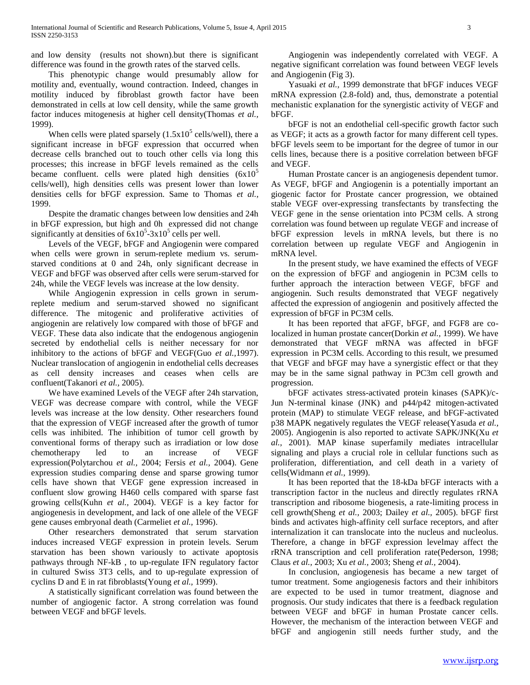and low density (results not shown).but there is significant difference was found in the growth rates of the starved cells.

 This phenotypic change would presumably allow for motility and, eventually, wound contraction. Indeed, changes in motility induced by fibroblast growth factor have been demonstrated in cells at low cell density, while the same growth factor induces mitogenesis at higher cell density(Thomas *et al.,* 1999).

When cells were plated sparsely  $(1.5x10^5 \text{ cells/well})$ , there a significant increase in bFGF expression that occurred when decrease cells branched out to touch other cells via long this processes; this increase in bFGF levels remained as the cells became confluent. cells were plated high densities  $(6x10<sup>5</sup>)$ cells/well), high densities cells was present lower than lower densities cells for bFGF expression. Same to Thomas *et al.,* 1999.

 Despite the dramatic changes between low densities and 24h in bFGF expression, but high and 0h expressed did not change significantly at densities of  $6x10^5$ -3x10<sup>5</sup> cells per well.

 Levels of the VEGF, bFGF and Angiogenin were compared when cells were grown in serum-replete medium vs. serumstarved conditions at 0 and 24h, only significant decrease in VEGF and bFGF was observed after cells were serum-starved for 24h, while the VEGF levels was increase at the low density.

 While Angiogenin expression in cells grown in serumreplete medium and serum-starved showed no significant difference. The mitogenic and proliferative activities of angiogenin are relatively low compared with those of bFGF and VEGF. These data also indicate that the endogenous angiogenin secreted by endothelial cells is neither necessary for nor inhibitory to the actions of bFGF and VEGF(Guo *et al.,*1997). Nuclear translocation of angiogenin in endothelial cells decreases as cell density increases and ceases when cells are confluent(Takanori *et al.,* 2005).

 We have examined Levels of the VEGF after 24h starvation, VEGF was decrease compare with control, while the VEGF levels was increase at the low density. Other researchers found that the expression of VEGF increased after the growth of tumor cells was inhibited. The inhibition of tumor cell growth by conventional forms of therapy such as irradiation or low dose chemotherapy led to an increase of VEGF expression(Polytarchou *et al.,* 2004; Fersis *et al.,* 2004). Gene expression studies comparing dense and sparse growing tumor cells have shown that VEGF gene expression increased in confluent slow growing H460 cells compared with sparse fast growing cells(Kuhn *et al.,* 2004). VEGF is a key factor for angiogenesis in development, and lack of one allele of the VEGF gene causes embryonal death (Carmeliet *et al.,* 1996).

 Other researchers demonstrated that serum starvation induces increased VEGF expression in protein levels. Serum starvation has been shown variously to activate apoptosis pathways through NF-kB , to up-regulate IFN regulatory factor in cultured Swiss 3T3 cells, and to up-regulate expression of cyclins D and E in rat fibroblasts(Young *et al.,* 1999).

 A statistically significant correlation was found between the number of angiogenic factor. A strong correlation was found between VEGF and bFGF levels.

 Angiogenin was independently correlated with VEGF. A negative significant correlation was found between VEGF levels and Angiogenin (Fig 3).

 Yasuaki *et al.,* 1999 demonstrate that bFGF induces VEGF mRNA expression (2.8-fold) and, thus, demonstrate a potential mechanistic explanation for the synergistic activity of VEGF and bFGF.

 bFGF is not an endothelial cell-specific growth factor such as VEGF; it acts as a growth factor for many different cell types. bFGF levels seem to be important for the degree of tumor in our cells lines, because there is a positive correlation between bFGF and VEGF.

 Human Prostate cancer is an angiogenesis dependent tumor. As VEGF, bFGF and Angiogenin is a potentially important an giogenic factor for Prostate cancer progression, we obtained stable VEGF over-expressing transfectants by transfecting the VEGF gene in the sense orientation into PC3M cells. A strong correlation was found between up regulate VEGF and increase of bFGF expression levels in mRNA levels, but there is no correlation between up regulate VEGF and Angiogenin in mRNA level.

 In the present study, we have examined the effects of VEGF on the expression of bFGF and angiogenin in PC3M cells to further approach the interaction between VEGF, bFGF and angiogenin. Such results demonstrated that VEGF negatively affected the expression of angiogenin and positively affected the expression of bFGF in PC3M cells.

 It has been reported that aFGF, bFGF, and FGF8 are colocalized in human prostate cancer(Dorkin *et al.,* 1999). We have demonstrated that VEGF mRNA was affected in bFGF expression in PC3M cells. According to this result, we presumed that VEGF and bFGF may have a synergistic effect or that they may be in the same signal pathway in PC3m cell growth and progression.

 bFGF activates stress-activated protein kinases (SAPK)/c-Jun N-terminal kinase (JNK) and p44/p42 mitogen-activated protein (MAP) to stimulate VEGF release, and bFGF-activated p38 MAPK negatively regulates the VEGF release(Yasuda *et al.,* 2005). Angiogenin is also reported to activate SAPK/JNK(Xu *et al.,* 2001). MAP kinase superfamily mediates intracellular signaling and plays a crucial role in cellular functions such as proliferation, differentiation, and cell death in a variety of cells(Widmann *et al.,* 1999).

 It has been reported that the 18-kDa bFGF interacts with a transcription factor in the nucleus and directly regulates rRNA transcription and ribosome biogenesis, a rate-limiting process in cell growth(Sheng *et al.,* 2003; Dailey *et al.,* 2005). bFGF first binds and activates high-affinity cell surface receptors, and after internalization it can translocate into the nucleus and nucleolus. Therefore, a change in bFGF expression levelmay affect the rRNA transcription and cell proliferation rate(Pederson, 1998; Claus *et al.,* 2003; Xu *et al.,* 2003; Sheng *et al.,* 2004).

 In conclusion, angiogenesis has became a new target of tumor treatment. Some angiogenesis factors and their inhibitors are expected to be used in tumor treatment, diagnose and prognosis. Our study indicates that there is a feedback regulation between VEGF and bFGF in human Prostate cancer cells. However, the mechanism of the interaction between VEGF and bFGF and angiogenin still needs further study, and the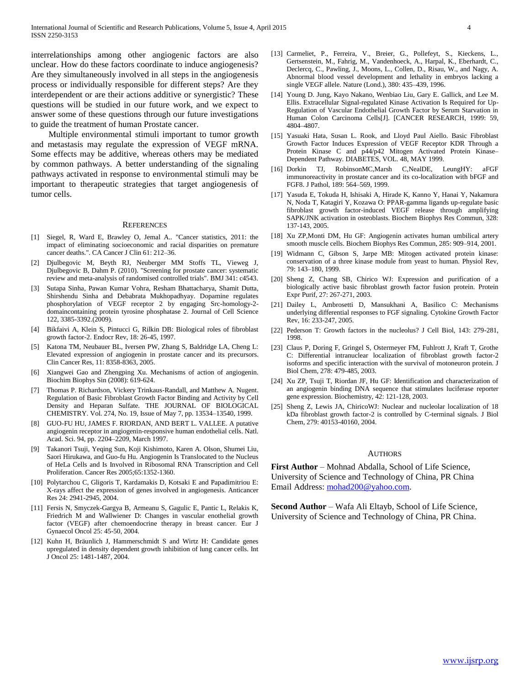interrelationships among other angiogenic factors are also unclear. How do these factors coordinate to induce angiogenesis? Are they simultaneously involved in all steps in the angiogenesis process or individually responsible for different steps? Are they interdependent or are their actions additive or synergistic? These questions will be studied in our future work, and we expect to answer some of these questions through our future investigations to guide the treatment of human Prostate cancer.

 Multiple environmental stimuli important to tumor growth and metastasis may regulate the expression of VEGF mRNA. Some effects may be additive, whereas others may be mediated by common pathways. A better understanding of the signaling pathways activated in response to environmental stimuli may be important to therapeutic strategies that target angiogenesis of tumor cells.

#### **REFERENCES**

- [1] Siegel, R, Ward E, Brawley O, Jemal A.. "Cancer statistics, 2011: the impact of eliminating socioeconomic and racial disparities on premature cancer deaths.". CA Cancer J Clin 61: 212–36.
- [2] Djulbegovic M, Beyth RJ, Neuberger MM Stoffs TL, Vieweg J, Djulbegovic B, Dahm P. (2010). "Screening for prostate cancer: systematic review and meta-analysis of randomised controlled trials". BMJ 341: c4543.
- [3] Sutapa Sinha, Pawan Kumar Vohra, Resham Bhattacharya, Shamit Dutta, Shirshendu Sinha and Debabrata Mukhopadhyay. Dopamine regulates phosphorylation of VEGF receptor 2 by engaging Src-homology-2 domaincontaining protein tyrosine phosphatase 2. Journal of Cell Science 122, 3385-3392.(2009).
- [4] Bikfaivi A, Klein S, Pintucci G, Rilkin DB: Biological roles of fibroblast growth factor-2. Endocr Rev, 18: 26-45, 1997.
- [5] Katona TM, Neubauer BL, Iversen PW, Zhang S, Baldridge LA, Cheng L: Elevated expression of angiogenin in prostate cancer and its precursors. Clin Cancer Res, 11: 8358-8363, 2005.
- [6] Xiangwei Gao and Zhengping Xu. Mechanisms of action of angiogenin. Biochim Biophys Sin (2008): 619-624.
- [7] Thomas P. Richardson, Vickery Trinkaus-Randall, and Matthew A. Nugent. Regulation of Basic Fibroblast Growth Factor Binding and Activity by Cell Density and Heparan Sulfate. THE JOURNAL OF BIOLOGICAL CHEMISTRY. Vol. 274, No. 19, Issue of May 7, pp. 13534–13540, 1999.
- [8] GUO-FU HU, JAMES F. RIORDAN, AND BERT L. VALLEE. A putative angiogenin receptor in angiogenin-responsive human endothelial cells. Natl. Acad. Sci. 94, pp. 2204–2209, March 1997.
- [9] Takanori Tsuji, Yeqing Sun, Koji Kishimoto, Karen A. Olson, Shumei Liu, Saori Hirukawa, and Guo-fu Hu. Angiogenin Is Translocated to the Nucleus of HeLa Cells and Is Involved in Ribosomal RNA Transcription and Cell Proliferation. Cancer Res 2005;65:1352-1360.
- [10] Polytarchou C, Gligoris T, Kardamakis D, Kotsaki E and Papadimitriou E: X-rays affect the expression of genes involved in angiogenesis. Anticancer Res 24: 2941-2945, 2004.
- [11] Fersis N, Smyczek-Gargya B, Armeanu S, Gagulic E, Pantic L, Relakis K, Friedrich M and Wallwiener D: Changes in vascular enothelial growth factor (VEGF) after chemoendocrine therapy in breast cancer. Eur J Gynaecol Oncol 25: 45-50, 2004.
- [12] Kuhn H, Bräunlich J, Hammerschmidt S and Wirtz H: Candidate genes upregulated in density dependent growth inhibition of lung cancer cells. Int J Oncol 25: 1481-1487, 2004.
- [13] Carmeliet, P., Ferreira, V., Breier, G., Pollefeyt, S., Kieckens, L., Gertsenstein, M., Fahrig, M., Vandenhoeck, A., Harpal, K., Eberhardt, C., Declercq, C., Pawling, J., Moons, L., Collen, D., Risau, W., and Nagy, A. Abnormal blood vessel development and lethality in embryos lacking a single VEGF allele. Nature (Lond.), 380: 435–439, 1996.
- [14] Young D. Jung, Kayo Nakano, Wenbiao Liu, Gary E. Gallick, and Lee M. Ellis. Extracellular Signal-regulated Kinase Activation Is Required for Up-Regulation of Vascular Endothelial Growth Factor by Serum Starvation in Human Colon Carcinoma Cells[J]. [CANCER RESEARCH, 1999: 59, 4804–4807.
- [15] Yasuaki Hata, Susan L. Rook, and Lloyd Paul Aiello. Basic Fibroblast Growth Factor Induces Expression of VEGF Receptor KDR Through a Protein Kinase C and p44/p42 Mitogen Activated Protein Kinase– Dependent Pathway. DIABETES, VOL. 48, MAY 1999.
- [16] Dorkin TJ, RobinsonMC,Marsh C,NealDE, LeungHY: aFGF immunoreactivity in prostate cancer and its co-localization with bFGF and FGF8. J Pathol, 189: 564–569, 1999.
- [17] Yasuda E, Tokuda H, Ishisaki A, Hirade K, Kanno Y, Hanai Y, Nakamura N, Noda T, Katagiri Y, Kozawa O: PPAR-gamma ligands up-regulate basic fibroblast growth factor-induced VEGF release through amplifying SAPK/JNK activation in osteoblasts. Biochem Biophys Res Commun, 328: 137-143, 2005.
- [18] Xu ZP,Monti DM, Hu GF: Angiogenin activates human umbilical artery smooth muscle cells. Biochem Biophys Res Commun, 285: 909–914, 2001.
- [19] Widmann C, Gibson S, Jarpe MB: Mitogen activated protein kinase: conservation of a three kinase module from yeast to human. Physiol Rev, 79: 143–180, 1999.
- [20] Sheng Z, Chang SB, Chirico WJ: Expression and purification of a biologically active basic fibroblast growth factor fusion protein. Protein Expr Purif, 27: 267-271, 2003.
- [21] Dailey L, Ambrosetti D, Mansukhani A, Basilico C: Mechanisms underlying differential responses to FGF signaling. Cytokine Growth Factor Rev, 16: 233-247, 2005.
- [22] Pederson T: Growth factors in the nucleolus? J Cell Biol, 143: 279-281, 1998.
- [23] Claus P, Doring F, Gringel S, Ostermeyer FM, Fuhlrott J, Kraft T, Grothe C: Differential intranuclear localization of fibroblast growth factor-2 isoforms and specific interaction with the survival of motoneuron protein. J Biol Chem, 278: 479-485, 2003.
- [24] Xu ZP, Tsuji T, Riordan JF, Hu GF: Identification and characterization of an angiogenin binding DNA sequence that stimulates luciferase reporter gene expression. Biochemistry, 42: 121-128, 2003.
- [25] Sheng Z, Lewis JA, ChiricoWJ: Nuclear and nucleolar localization of 18 kDa fibroblast growth factor-2 is controlled by C-terminal signals. J Biol Chem, 279: 40153-40160, 2004.

#### **AUTHORS**

**First Author** – Mohnad Abdalla, School of Life Science, University of Science and Technology of China, PR China Email Address[: mohad200@yahoo.com.](mailto:mohad200@yahoo.com)

**Second Author** – Wafa Ali Eltayb, School of Life Science, University of Science and Technology of China, PR China.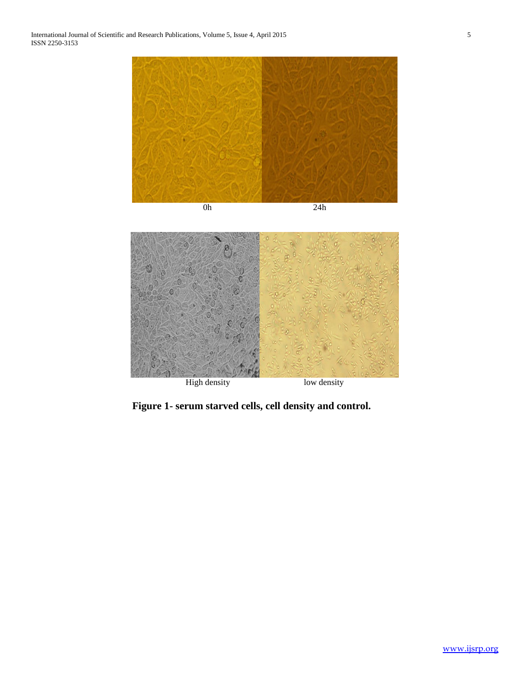

High density low density

**Figure 1- serum starved cells, cell density and control.**